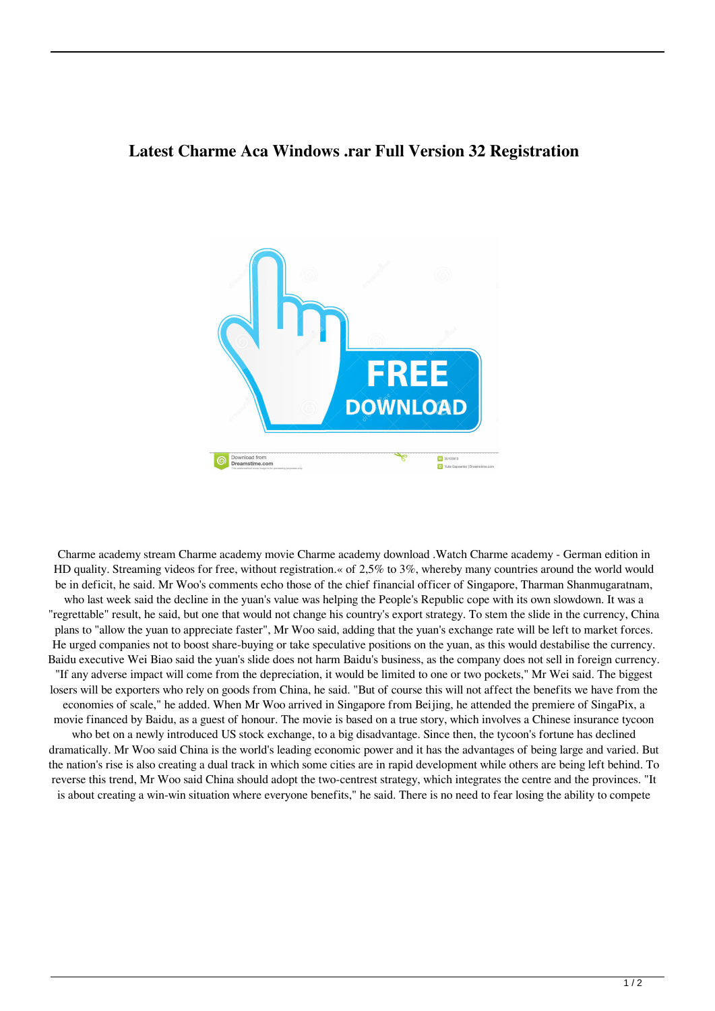## **Latest Charme Aca Windows .rar Full Version 32 Registration**



Charme academy stream Charme academy movie Charme academy download .Watch Charme academy - German edition in HD quality. Streaming videos for free, without registration.« of 2,5% to 3%, whereby many countries around the world would be in deficit, he said. Mr Woo's comments echo those of the chief financial officer of Singapore, Tharman Shanmugaratnam, who last week said the decline in the yuan's value was helping the People's Republic cope with its own slowdown. It was a "regrettable" result, he said, but one that would not change his country's export strategy. To stem the slide in the currency, China plans to "allow the yuan to appreciate faster", Mr Woo said, adding that the yuan's exchange rate will be left to market forces. He urged companies not to boost share-buying or take speculative positions on the yuan, as this would destabilise the currency. Baidu executive Wei Biao said the yuan's slide does not harm Baidu's business, as the company does not sell in foreign currency. "If any adverse impact will come from the depreciation, it would be limited to one or two pockets," Mr Wei said. The biggest losers will be exporters who rely on goods from China, he said. "But of course this will not affect the benefits we have from the economies of scale," he added. When Mr Woo arrived in Singapore from Beijing, he attended the premiere of SingaPix, a movie financed by Baidu, as a guest of honour. The movie is based on a true story, which involves a Chinese insurance tycoon who bet on a newly introduced US stock exchange, to a big disadvantage. Since then, the tycoon's fortune has declined dramatically. Mr Woo said China is the world's leading economic power and it has the advantages of being large and varied. But the nation's rise is also creating a dual track in which some cities are in rapid development while others are being left behind. To reverse this trend, Mr Woo said China should adopt the two-centrest strategy, which integrates the centre and the provinces. "It is about creating a win-win situation where everyone benefits," he said. There is no need to fear losing the ability to compete